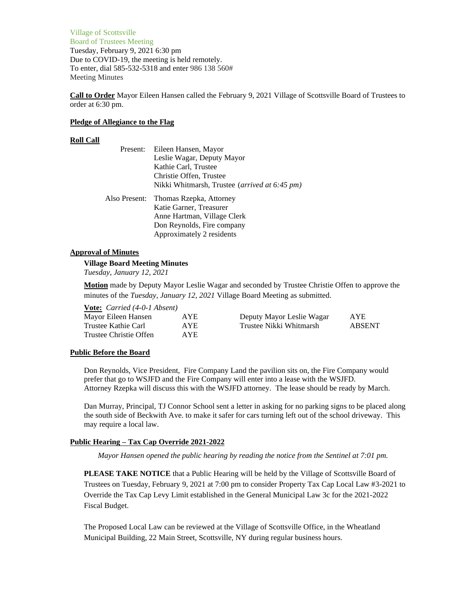Village of Scottsville Board of Trustees Meeting Tuesday, February 9, 2021 6:30 pm Due to COVID-19, the meeting is held remotely. To enter, dial 585-532-5318 and enter 986 138 560# Meeting Minutes

**Call to Order** Mayor Eileen Hansen called the February 9, 2021 Village of Scottsville Board of Trustees to order at 6:30 pm.

## **Pledge of Allegiance to the Flag**

# **Roll Call**

|               | Present: Eileen Hansen, Mayor                 |
|---------------|-----------------------------------------------|
|               | Leslie Wagar, Deputy Mayor                    |
|               | Kathie Carl, Trustee                          |
|               | Christie Offen, Trustee                       |
|               | Nikki Whitmarsh, Trustee (arrived at 6:45 pm) |
| Also Present: | Thomas Rzepka, Attorney                       |
|               | Katie Garner, Treasurer                       |
|               | Anne Hartman, Village Clerk                   |
|               | Don Reynolds, Fire company                    |
|               |                                               |

# **Approval of Minutes**

## **Village Board Meeting Minutes**

*Tuesday, January 12, 2021*

**Motion** made by Deputy Mayor Leslie Wagar and seconded by Trustee Christie Offen to approve the minutes of the *Tuesday, January 12, 2021* Village Board Meeting as submitted.

# **Vote:** *Carried (4-0-1 Absent)*

| Mayor Eileen Hansen    | AYE  | Deputy Mayor Leslie Wagar | AYE    |
|------------------------|------|---------------------------|--------|
| Trustee Kathie Carl    | AYE. | Trustee Nikki Whitmarsh   | ABSENT |
| Trustee Christie Offen | AYE. |                           |        |

# **Public Before the Board**

Don Reynolds, Vice President, Fire Company Land the pavilion sits on, the Fire Company would prefer that go to WSJFD and the Fire Company will enter into a lease with the WSJFD. Attorney Rzepka will discuss this with the WSJFD attorney. The lease should be ready by March.

Dan Murray, Principal, TJ Connor School sent a letter in asking for no parking signs to be placed along the south side of Beckwith Ave. to make it safer for cars turning left out of the school driveway. This may require a local law.

# **Public Hearing – Tax Cap Override 2021-2022**

*Mayor Hansen opened the public hearing by reading the notice from the Sentinel at 7:01 pm.*

**PLEASE TAKE NOTICE** that a Public Hearing will be held by the Village of Scottsville Board of Trustees on Tuesday, February 9, 2021 at 7:00 pm to consider Property Tax Cap Local Law #3-2021 to Override the Tax Cap Levy Limit established in the General Municipal Law 3c for the 2021-2022 Fiscal Budget.

The Proposed Local Law can be reviewed at the Village of Scottsville Office, in the Wheatland Municipal Building, 22 Main Street, Scottsville, NY during regular business hours.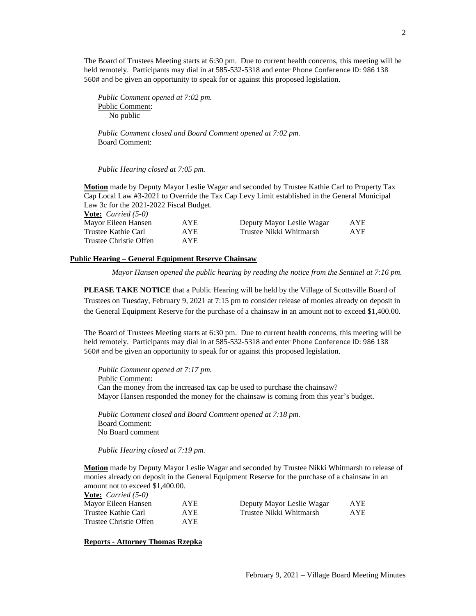The Board of Trustees Meeting starts at 6:30 pm. Due to current health concerns, this meeting will be held remotely. Participants may dial in at 585-532-5318 and enter Phone Conference ID: 986 138 560# and be given an opportunity to speak for or against this proposed legislation.

*Public Comment opened at 7:02 pm.* Public Comment: No public

*Public Comment closed and Board Comment opened at 7:02 pm.* Board Comment:

*Public Hearing closed at 7:05 pm.*

**Motion** made by Deputy Mayor Leslie Wagar and seconded by Trustee Kathie Carl to Property Tax Cap Local Law #3-2021 to Override the Tax Cap Levy Limit established in the General Municipal Law 3c for the 2021-2022 Fiscal Budget. **Vote:** *Carried (5-0)*

| $\overline{V}$ varried (9-0) |            |                           |            |
|------------------------------|------------|---------------------------|------------|
| Mayor Eileen Hansen          | <b>AYE</b> | Deputy Mayor Leslie Wagar | <b>AYE</b> |
| Trustee Kathie Carl          | AYE.       | Trustee Nikki Whitmarsh   | AYE        |
| Trustee Christie Offen       | AYE.       |                           |            |

## **Public Hearing – General Equipment Reserve Chainsaw**

*Mayor Hansen opened the public hearing by reading the notice from the Sentinel at 7:16 pm.*

**PLEASE TAKE NOTICE** that a Public Hearing will be held by the Village of Scottsville Board of Trustees on Tuesday, February 9, 2021 at 7:15 pm to consider release of monies already on deposit in the General Equipment Reserve for the purchase of a chainsaw in an amount not to exceed \$1,400.00.

The Board of Trustees Meeting starts at 6:30 pm. Due to current health concerns, this meeting will be held remotely. Participants may dial in at 585-532-5318 and enter Phone Conference ID: 986 138 560# and be given an opportunity to speak for or against this proposed legislation.

*Public Comment opened at 7:17 pm.* Public Comment: Can the money from the increased tax cap be used to purchase the chainsaw? Mayor Hansen responded the money for the chainsaw is coming from this year's budget.

*Public Comment closed and Board Comment opened at 7:18 pm.* Board Comment: No Board comment

*Public Hearing closed at 7:19 pm.*

**Motion** made by Deputy Mayor Leslie Wagar and seconded by Trustee Nikki Whitmarsh to release of monies already on deposit in the General Equipment Reserve for the purchase of a chainsaw in an amount not to exceed \$1,400.00.

| <b><u>Vote:</u></b> <i>Carried</i> $(5-0)$ |            |                           |            |
|--------------------------------------------|------------|---------------------------|------------|
| Mayor Eileen Hansen                        | AYE.       | Deputy Mayor Leslie Wagar | <b>AYE</b> |
| Trustee Kathie Carl                        | <b>AYE</b> | Trustee Nikki Whitmarsh   | AYE.       |
| Trustee Christie Offen                     | <b>AYE</b> |                           |            |

**Reports - Attorney Thomas Rzepka**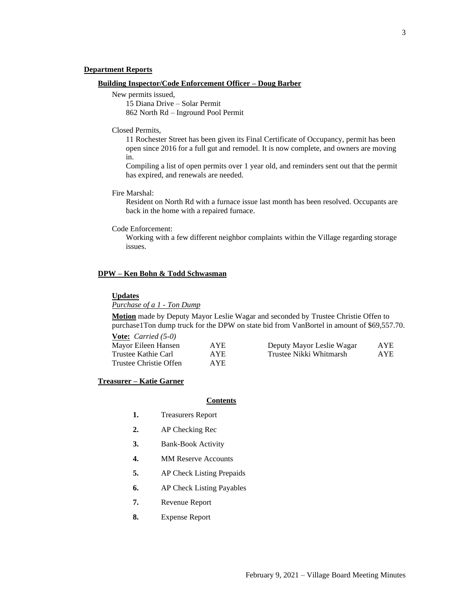## **Department Reports**

### **Building Inspector/Code Enforcement Officer – Doug Barber**

New permits issued,

15 Diana Drive – Solar Permit 862 North Rd – Inground Pool Permit

#### Closed Permits,

11 Rochester Street has been given its Final Certificate of Occupancy, permit has been open since 2016 for a full gut and remodel. It is now complete, and owners are moving in.

Compiling a list of open permits over 1 year old, and reminders sent out that the permit has expired, and renewals are needed.

Fire Marshal:

Resident on North Rd with a furnace issue last month has been resolved. Occupants are back in the home with a repaired furnace.

#### Code Enforcement:

Working with a few different neighbor complaints within the Village regarding storage issues.

# **DPW – Ken Bohn & Todd Schwasman**

### **Updates**

# *Purchase of a 1 - Ton Dump*

**Motion** made by Deputy Mayor Leslie Wagar and seconded by Trustee Christie Offen to purchase1Ton dump truck for the DPW on state bid from VanBortel in amount of \$69,557.70.

| <b>Vote:</b> <i>Carried</i> $(5-0)$ |            |                           |      |
|-------------------------------------|------------|---------------------------|------|
| Mayor Eileen Hansen                 | <b>AYE</b> | Deputy Mayor Leslie Wagar | AYE. |
| Trustee Kathie Carl                 | AYE        | Trustee Nikki Whitmarsh   | AYE. |
| Trustee Christie Offen              | AYE.       |                           |      |

# **Treasurer – Katie Garner**

# **Contents**

- **1.** Treasurers Report
- **2.** AP Checking Rec
- **3.** Bank-Book Activity
- **4.** MM Reserve Accounts
- **5.** AP Check Listing Prepaids
- **6.** AP Check Listing Payables
- **7.** Revenue Report
- **8.** Expense Report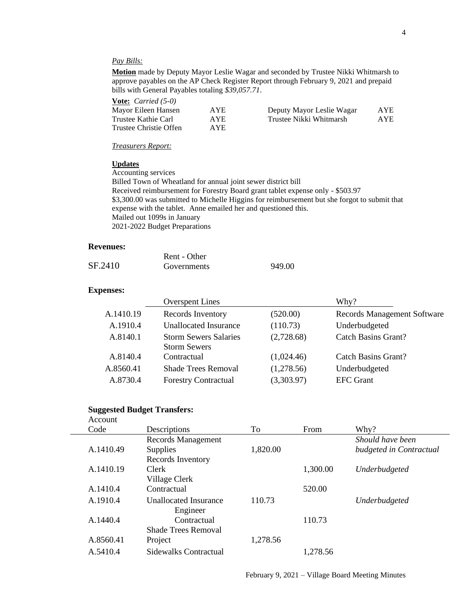# *Pay Bills:*

**Motion** made by Deputy Mayor Leslie Wagar and seconded by Trustee Nikki Whitmarsh to approve payables on the AP Check Register Report through February 9, 2021 and prepaid bills with General Payables totaling *\$39,057.71*.

**Vote:** *Carried (5-0)*

| Mayor Eileen Hansen    | <b>AYE</b> | Deputy Mayor Leslie Wagar | AYE |
|------------------------|------------|---------------------------|-----|
| Trustee Kathie Carl    | AYE.       | Trustee Nikki Whitmarsh   | AYE |
| Trustee Christie Offen | <b>AYE</b> |                           |     |

*Treasurers Report:*

### **Updates**

Accounting services Billed Town of Wheatland for annual joint sewer district bill Received reimbursement for Forestry Board grant tablet expense only - \$503.97 \$3,300.00 was submitted to Michelle Higgins for reimbursement but she forgot to submit that expense with the tablet. Anne emailed her and questioned this. Mailed out 1099s in January 2021-2022 Budget Preparations

## **Revenues:**

|         | Rent - Other |        |
|---------|--------------|--------|
| SF.2410 | Governments  | 949.00 |

# **Expenses:**

|           | <b>Overspent Lines</b>       |            | Why?                               |
|-----------|------------------------------|------------|------------------------------------|
| A.1410.19 | Records Inventory            | (520.00)   | <b>Records Management Software</b> |
| A.1910.4  | Unallocated Insurance        | (110.73)   | Underbudgeted                      |
| A.8140.1  | <b>Storm Sewers Salaries</b> | (2,728.68) | <b>Catch Basins Grant?</b>         |
|           | <b>Storm Sewers</b>          |            |                                    |
| A.8140.4  | Contractual                  | (1,024.46) | Catch Basins Grant?                |
| A.8560.41 | <b>Shade Trees Removal</b>   | (1,278.56) | Underbudgeted                      |
| A.8730.4  | <b>Forestry Contractual</b>  | (3,303.97) | <b>EFC</b> Grant                   |
|           |                              |            |                                    |

# **Suggested Budget Transfers:**

| Account   |                              |          |          |                         |
|-----------|------------------------------|----------|----------|-------------------------|
| Code      | Descriptions                 | To       | From     | Why?                    |
|           | Records Management           |          |          | Should have been        |
| A.1410.49 | <b>Supplies</b>              | 1,820.00 |          | budgeted in Contractual |
|           | Records Inventory            |          |          |                         |
| A.1410.19 | <b>Clerk</b>                 |          | 1,300.00 | Underbudgeted           |
|           | Village Clerk                |          |          |                         |
| A.1410.4  | Contractual                  |          | 520.00   |                         |
| A.1910.4  | <b>Unallocated Insurance</b> | 110.73   |          | Underbudgeted           |
|           | Engineer                     |          |          |                         |
| A.1440.4  | Contractual                  |          | 110.73   |                         |
|           | <b>Shade Trees Removal</b>   |          |          |                         |
| A.8560.41 | Project                      | 1,278.56 |          |                         |
| A.5410.4  | Sidewalks Contractual        |          | 1,278.56 |                         |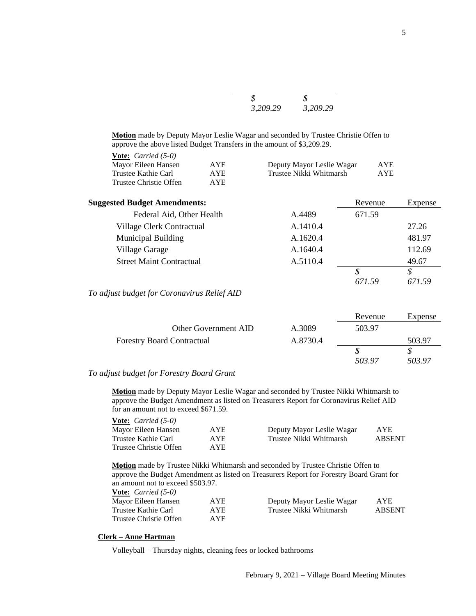| 3,209.29 | 3,209.29 |
|----------|----------|

**Motion** made by Deputy Mayor Leslie Wagar and seconded by Trustee Christie Offen to approve the above listed Budget Transfers in the amount of \$3,209.29.

| <b>AYE</b> |
|------------|
| AYE.       |
|            |
|            |

| <b>Suggested Budget Amendments:</b> |          | Revenue | Expense |
|-------------------------------------|----------|---------|---------|
| Federal Aid, Other Health           | A.4489   | 671.59  |         |
| Village Clerk Contractual           | A.1410.4 |         | 27.26   |
| <b>Municipal Building</b>           | A.1620.4 |         | 481.97  |
| Village Garage                      | A.1640.4 |         | 112.69  |
| <b>Street Maint Contractual</b>     | A.5110.4 |         | 49.67   |
|                                     |          |         |         |
|                                     |          | 671.59  | 671.59  |

*To adjust budget for Coronavirus Relief AID*

|                                   |          | Revenue | Expense |
|-----------------------------------|----------|---------|---------|
| Other Government AID              | A.3089   | 503.97  |         |
| <b>Forestry Board Contractual</b> | A.8730.4 |         | 503.97  |
|                                   |          |         |         |
|                                   |          | 503.97  | 503.97  |

# *To adjust budget for Forestry Board Grant*

**Motion** made by Deputy Mayor Leslie Wagar and seconded by Trustee Nikki Whitmarsh to approve the Budget Amendment as listed on Treasurers Report for Coronavirus Relief AID for an amount not to exceed \$671.59.

| <b>Vote:</b> <i>Carried</i> $(5-0)$ |      |                           |               |
|-------------------------------------|------|---------------------------|---------------|
| Mayor Eileen Hansen                 | AYE  | Deputy Mayor Leslie Wagar | <b>AYE</b>    |
| Trustee Kathie Carl                 | AYE. | Trustee Nikki Whitmarsh   | <b>ABSENT</b> |
| Trustee Christie Offen              | AYE. |                           |               |

**Motion** made by Trustee Nikki Whitmarsh and seconded by Trustee Christie Offen to approve the Budget Amendment as listed on Treasurers Report for Forestry Board Grant for an amount not to exceed \$503.97.

| <b>Vote:</b> <i>Carried</i> (5-0) |      |                           |               |
|-----------------------------------|------|---------------------------|---------------|
| Mayor Eileen Hansen               | AYE. | Deputy Mayor Leslie Wagar | AYE.          |
| Trustee Kathie Carl               | AYE. | Trustee Nikki Whitmarsh   | <b>ABSENT</b> |
| Trustee Christie Offen            | AYE. |                           |               |

### **Clerk – Anne Hartman**

Volleyball – Thursday nights, cleaning fees or locked bathrooms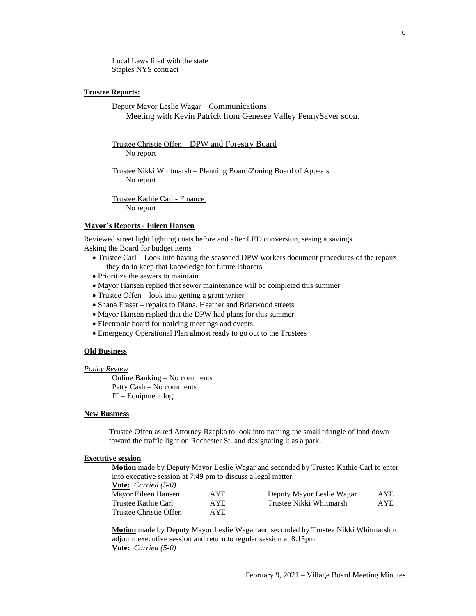Local Laws filed with the state Staples NYS contract

### **Trustee Reports:**

Deputy Mayor Leslie Wagar – Communications Meeting with Kevin Patrick from Genesee Valley PennySaver soon.

Trustee Christie Offen – DPW and Forestry Board No report

Trustee Nikki Whitmarsh – Planning Board/Zoning Board of Appeals No report

Trustee Kathie Carl - Finance No report

### **Mayor's Reports - Eileen Hansen**

Reviewed street light lighting costs before and after LED conversion, seeing a savings Asking the Board for budget items

- Trustee Carl Look into having the seasoned DPW workers document procedures of the repairs they do to keep that knowledge for future laborers
- Prioritize the sewers to maintain
- Mayor Hansen replied that sewer maintenance will be completed this summer
- Trustee Offen look into getting a grant writer
- Shana Fraser repairs to Diana, Heather and Briarwood streets
- Mayor Hansen replied that the DPW had plans for this summer
- Electronic board for noticing meetings and events
- Emergency Operational Plan almost ready to go out to the Trustees

# **Old Business**

### *Policy Review*

Online Banking – No comments Petty Cash – No comments IT – Equipment log

### **New Business**

Trustee Offen asked Attorney Rzepka to look into naming the small triangle of land down toward the traffic light on Rochester St. and designating it as a park.

# **Executive session**

**Motion** made by Deputy Mayor Leslie Wagar and seconded by Trustee Kathie Carl to enter into executive session at 7:49 pm to discuss a legal matter.

|  | <b><u>Vote:</u></b> <i>Carried</i> $(5-0)$ |
|--|--------------------------------------------|
|--|--------------------------------------------|

| Mayor Eileen Hansen    | <b>AYE</b> | Deputy Mayor Leslie Wagar | AYE        |
|------------------------|------------|---------------------------|------------|
| Trustee Kathie Carl    | AYE.       | Trustee Nikki Whitmarsh   | <b>AYE</b> |
| Trustee Christie Offen | AYE.       |                           |            |

**Motion** made by Deputy Mayor Leslie Wagar and seconded by Trustee Nikki Whitmarsh to adjourn executive session and return to regular session at 8:15pm. **Vote:** *Carried (5-0)*